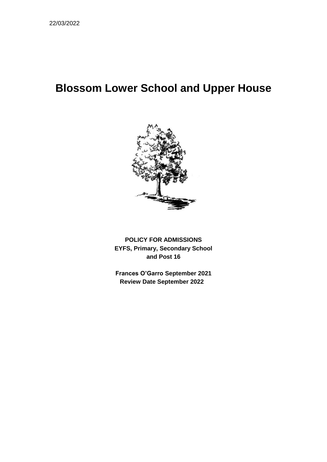# **Blossom Lower School and Upper House**



**POLICY FOR ADMISSIONS EYFS, Primary, Secondary School and Post 16**

**Frances O'Garro September 2021 Review Date September 2022**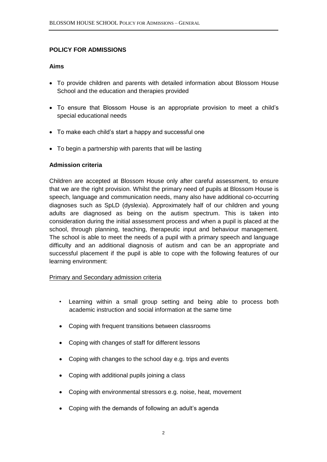## **POLICY FOR ADMISSIONS**

## **Aims**

- To provide children and parents with detailed information about Blossom House School and the education and therapies provided
- To ensure that Blossom House is an appropriate provision to meet a child's special educational needs
- To make each child's start a happy and successful one
- To begin a partnership with parents that will be lasting

## **Admission criteria**

Children are accepted at Blossom House only after careful assessment, to ensure that we are the right provision. Whilst the primary need of pupils at Blossom House is speech, language and communication needs, many also have additional co-occurring diagnoses such as SpLD (dyslexia). Approximately half of our children and young adults are diagnosed as being on the autism spectrum. This is taken into consideration during the initial assessment process and when a pupil is placed at the school, through planning, teaching, therapeutic input and behaviour management. The school is able to meet the needs of a pupil with a primary speech and language difficulty and an additional diagnosis of autism and can be an appropriate and successful placement if the pupil is able to cope with the following features of our learning environment:

## Primary and Secondary admission criteria

- Learning within a small group setting and being able to process both academic instruction and social information at the same time
- Coping with frequent transitions between classrooms
- Coping with changes of staff for different lessons
- Coping with changes to the school day e.g. trips and events
- Coping with additional pupils joining a class
- Coping with environmental stressors e.g. noise, heat, movement
- Coping with the demands of following an adult's agenda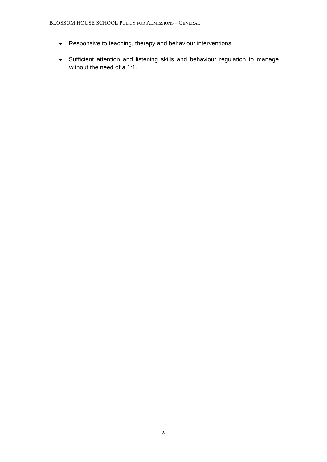- Responsive to teaching, therapy and behaviour interventions
- Sufficient attention and listening skills and behaviour regulation to manage without the need of a 1:1.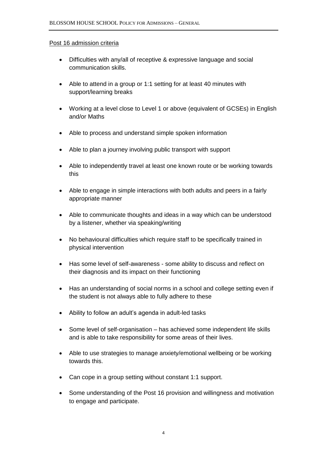#### Post 16 admission criteria

- Difficulties with any/all of receptive & expressive language and social communication skills.
- Able to attend in a group or 1:1 setting for at least 40 minutes with support/learning breaks
- Working at a level close to Level 1 or above (equivalent of GCSEs) in English and/or Maths
- Able to process and understand simple spoken information
- Able to plan a journey involving public transport with support
- Able to independently travel at least one known route or be working towards this
- Able to engage in simple interactions with both adults and peers in a fairly appropriate manner
- Able to communicate thoughts and ideas in a way which can be understood by a listener, whether via speaking/writing
- No behavioural difficulties which require staff to be specifically trained in physical intervention
- Has some level of self-awareness some ability to discuss and reflect on their diagnosis and its impact on their functioning
- Has an understanding of social norms in a school and college setting even if the student is not always able to fully adhere to these
- Ability to follow an adult's agenda in adult-led tasks
- Some level of self-organisation has achieved some independent life skills and is able to take responsibility for some areas of their lives.
- Able to use strategies to manage anxiety/emotional wellbeing or be working towards this.
- Can cope in a group setting without constant 1:1 support.
- Some understanding of the Post 16 provision and willingness and motivation to engage and participate.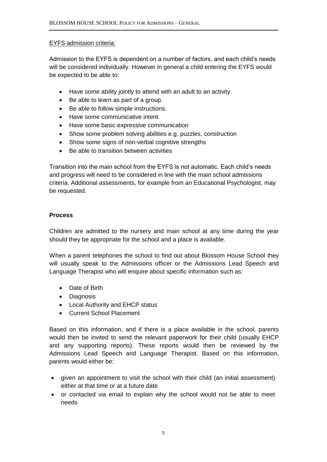## EYFS admission criteria:

Admission to the EYFS is dependent on a number of factors, and each child's needs will be considered individually. However in general a child entering the EYFS would be expected to be able to:

- Have some ability jointly to attend with an adult to an activity.
- Be able to learn as part of a group.
- Be able to follow simple instructions.
- Have some communicative intent.
- Have some basic expressive communication
- Show some problem solving abilities e.g. puzzles, construction
- Show some signs of non-verbal cognitive strengths
- Be able to transition between activities

Transition into the main school from the EYFS is not automatic. Each child's needs and progress will need to be considered in line with the main school admissions criteria. Additional assessments, for example from an Educational Psychologist, may be requested.

### **Process**

Children are admitted to the nursery and main school at any time during the year should they be appropriate for the school and a place is available.

When a parent telephones the school to find out about Blossom House School they will usually speak to the Admissions officer or the Admissions Lead Speech and Language Therapist who will enquire about specific information such as:

- Date of Birth
- Diagnosis
- Local Authority and EHCP status
- Current School Placement

Based on this information, and if there is a place available in the school, parents would then be invited to send the relevant paperwork for their child (usually EHCP and any supporting reports). These reports would then be reviewed by the Admissions Lead Speech and Language Therapist. Based on this information, parents would either be:

- given an appointment to visit the school with their child (an initial assessment) either at that time or at a future date
- or contacted via email to explain why the school would not be able to meet needs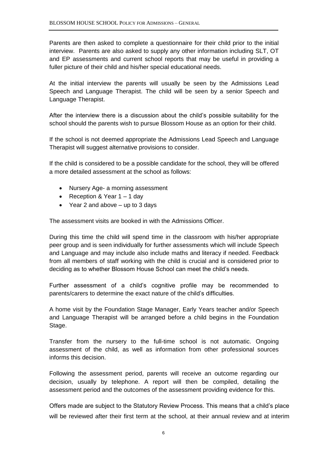Parents are then asked to complete a questionnaire for their child prior to the initial interview. Parents are also asked to supply any other information including SLT, OT and EP assessments and current school reports that may be useful in providing a fuller picture of their child and his/her special educational needs.

At the initial interview the parents will usually be seen by the Admissions Lead Speech and Language Therapist. The child will be seen by a senior Speech and Language Therapist.

After the interview there is a discussion about the child's possible suitability for the school should the parents wish to pursue Blossom House as an option for their child.

If the school is not deemed appropriate the Admissions Lead Speech and Language Therapist will suggest alternative provisions to consider.

If the child is considered to be a possible candidate for the school, they will be offered a more detailed assessment at the school as follows:

- Nursery Age- a morning assessment
- Reception & Year 1 1 day
- Year 2 and above  $-$  up to 3 days

The assessment visits are booked in with the Admissions Officer.

During this time the child will spend time in the classroom with his/her appropriate peer group and is seen individually for further assessments which will include Speech and Language and may include also include maths and literacy if needed. Feedback from all members of staff working with the child is crucial and is considered prior to deciding as to whether Blossom House School can meet the child's needs.

Further assessment of a child's cognitive profile may be recommended to parents/carers to determine the exact nature of the child's difficulties.

A home visit by the Foundation Stage Manager, Early Years teacher and/or Speech and Language Therapist will be arranged before a child begins in the Foundation Stage.

Transfer from the nursery to the full-time school is not automatic. Ongoing assessment of the child, as well as information from other professional sources informs this decision.

Following the assessment period, parents will receive an outcome regarding our decision, usually by telephone. A report will then be compiled, detailing the assessment period and the outcomes of the assessment providing evidence for this.

Offers made are subject to the Statutory Review Process. This means that a child's place will be reviewed after their first term at the school, at their annual review and at interim